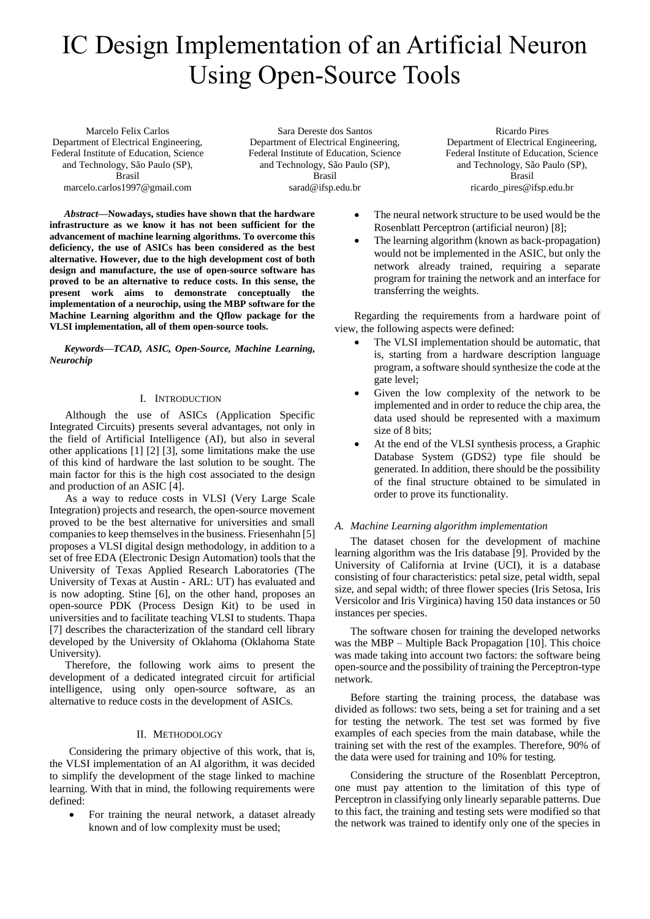# IC Design Implementation of an Artificial Neuron Using Open-Source Tools

Marcelo Felix Carlos Department of Electrical Engineering, Federal Institute of Education, Science and Technology, São Paulo (SP), Brasil marcelo.carlos1997@gmail.com

Sara Dereste dos Santos Department of Electrical Engineering, Federal Institute of Education, Science and Technology, São Paulo (SP), Brasil sarad@ifsp.edu.br

Ricardo Pires Department of Electrical Engineering, Federal Institute of Education, Science and Technology, São Paulo (SP), Brasil ricardo\_pires@ifsp.edu.br

*Abstract***—Nowadays, studies have shown that the hardware infrastructure as we know it has not been sufficient for the advancement of machine learning algorithms. To overcome this deficiency, the use of ASICs has been considered as the best alternative. However, due to the high development cost of both design and manufacture, the use of open-source software has proved to be an alternative to reduce costs. In this sense, the present work aims to demonstrate conceptually the implementation of a neurochip, using the MBP software for the Machine Learning algorithm and the Qflow package for the VLSI implementation, all of them open-source tools.**

*Keywords—TCAD, ASIC, Open-Source, Machine Learning, Neurochip*

# I. INTRODUCTION

Although the use of ASICs (Application Specific Integrated Circuits) presents several advantages, not only in the field of Artificial Intelligence (AI), but also in several other applications [1] [2] [3], some limitations make the use of this kind of hardware the last solution to be sought. The main factor for this is the high cost associated to the design and production of an ASIC [4].

As a way to reduce costs in VLSI (Very Large Scale Integration) projects and research, the open-source movement proved to be the best alternative for universities and small companies to keep themselves in the business. Friesenhahn [5] proposes a VLSI digital design methodology, in addition to a set of free EDA (Electronic Design Automation) tools that the University of Texas Applied Research Laboratories (The University of Texas at Austin - ARL: UT) has evaluated and is now adopting. Stine [6], on the other hand, proposes an open-source PDK (Process Design Kit) to be used in universities and to facilitate teaching VLSI to students. Thapa [7] describes the characterization of the standard cell library developed by the University of Oklahoma (Oklahoma State University).

Therefore, the following work aims to present the development of a dedicated integrated circuit for artificial intelligence, using only open-source software, as an alternative to reduce costs in the development of ASICs.

# II. METHODOLOGY

Considering the primary objective of this work, that is, the VLSI implementation of an AI algorithm, it was decided to simplify the development of the stage linked to machine learning. With that in mind, the following requirements were defined:

 For training the neural network, a dataset already known and of low complexity must be used;

- The neural network structure to be used would be the Rosenblatt Perceptron (artificial neuron) [8];
- The learning algorithm (known as back-propagation) would not be implemented in the ASIC, but only the network already trained, requiring a separate program for training the network and an interface for transferring the weights.

Regarding the requirements from a hardware point of view, the following aspects were defined:

- The VLSI implementation should be automatic, that is, starting from a hardware description language program, a software should synthesize the code at the gate level;
- Given the low complexity of the network to be implemented and in order to reduce the chip area, the data used should be represented with a maximum size of 8 bits;
- At the end of the VLSI synthesis process, a Graphic Database System (GDS2) type file should be generated. In addition, there should be the possibility of the final structure obtained to be simulated in order to prove its functionality.

# *A. Machine Learning algorithm implementation*

The dataset chosen for the development of machine learning algorithm was the Iris database [9]. Provided by the University of California at Irvine (UCI), it is a database consisting of four characteristics: petal size, petal width, sepal size, and sepal width; of three flower species (Iris Setosa, Iris Versicolor and Iris Virginica) having 150 data instances or 50 instances per species.

The software chosen for training the developed networks was the MBP – Multiple Back Propagation [10]. This choice was made taking into account two factors: the software being open-source and the possibility of training the Perceptron-type network.

Before starting the training process, the database was divided as follows: two sets, being a set for training and a set for testing the network. The test set was formed by five examples of each species from the main database, while the training set with the rest of the examples. Therefore, 90% of the data were used for training and 10% for testing.

Considering the structure of the Rosenblatt Perceptron, one must pay attention to the limitation of this type of Perceptron in classifying only linearly separable patterns. Due to this fact, the training and testing sets were modified so that the network was trained to identify only one of the species in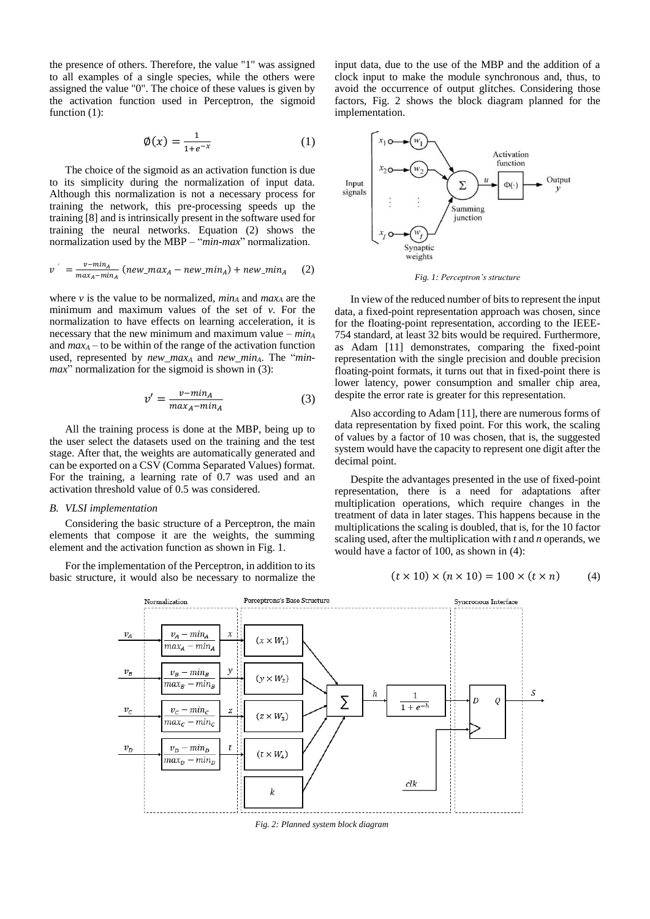the presence of others. Therefore, the value "1" was assigned to all examples of a single species, while the others were assigned the value "0". The choice of these values is given by the activation function used in Perceptron, the sigmoid function  $(1)$ :

$$
\emptyset(x) = \frac{1}{1 + e^{-x}}\tag{1}
$$

The choice of the sigmoid as an activation function is due to its simplicity during the normalization of input data. Although this normalization is not a necessary process for training the network, this pre-processing speeds up the training [8] and is intrinsically present in the software used for training the neural networks. Equation (2) shows the normalization used by the MBP – "*min-max*" normalization.

$$
v' = \frac{v - \min_A}{\max_A - \min_A} \left( new\_max_A - new\_min_A \right) + new\_min_A \quad (2)
$$

where *v* is the value to be normalized, *min<sup>A</sup>* and *max<sup>A</sup>* are the minimum and maximum values of the set of *v*. For the normalization to have effects on learning acceleration, it is necessary that the new minimum and maximum value – *min<sup>A</sup>* and  $max_A$  – to be within of the range of the activation function used, represented by *new\_max<sub>A</sub>* and *new\_min<sub>A</sub>*. The "*minmax*" normalization for the sigmoid is shown in (3):

$$
v' = \frac{v - \min_A}{\max_A - \min_A} \tag{3}
$$

All the training process is done at the MBP, being up to the user select the datasets used on the training and the test stage. After that, the weights are automatically generated and can be exported on a CSV (Comma Separated Values) format. For the training, a learning rate of 0.7 was used and an activation threshold value of 0.5 was considered.

## *B. VLSI implementation*

Considering the basic structure of a Perceptron, the main elements that compose it are the weights, the summing element and the activation function as shown in Fig. 1.

For the implementation of the Perceptron, in addition to its basic structure, it would also be necessary to normalize the input data, due to the use of the MBP and the addition of a clock input to make the module synchronous and, thus, to avoid the occurrence of output glitches. Considering those factors, Fig. 2 shows the block diagram planned for the implementation.



*Fig. 1: Perceptron's structure*

In view of the reduced number of bits to represent the input data, a fixed-point representation approach was chosen, since for the floating-point representation, according to the IEEE-754 standard, at least 32 bits would be required. Furthermore, as Adam [11] demonstrates, comparing the fixed-point representation with the single precision and double precision floating-point formats, it turns out that in fixed-point there is lower latency, power consumption and smaller chip area, despite the error rate is greater for this representation.

Also according to Adam [11], there are numerous forms of data representation by fixed point. For this work, the scaling of values by a factor of 10 was chosen, that is, the suggested system would have the capacity to represent one digit after the decimal point.

Despite the advantages presented in the use of fixed-point representation, there is a need for adaptations after multiplication operations, which require changes in the treatment of data in later stages. This happens because in the multiplications the scaling is doubled, that is, for the 10 factor scaling used, after the multiplication with *t* and *n* operands, we would have a factor of 100, as shown in (4):

$$
(t \times 10) \times (n \times 10) = 100 \times (t \times n) \tag{4}
$$



*Fig. 2: Planned system block diagram*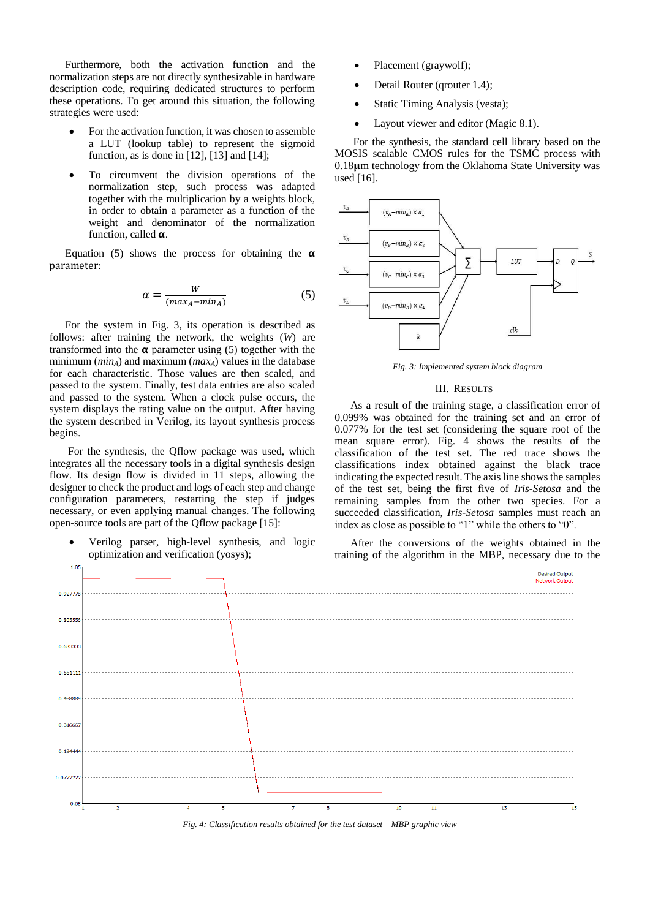Furthermore, both the activation function and the normalization steps are not directly synthesizable in hardware description code, requiring dedicated structures to perform these operations. To get around this situation, the following strategies were used:

- For the activation function, it was chosen to assemble a LUT (lookup table) to represent the sigmoid function, as is done in  $[12]$ ,  $[13]$  and  $[14]$ ;
- To circumvent the division operations of the normalization step, such process was adapted together with the multiplication by a weights block, in order to obtain a parameter as a function of the weight and denominator of the normalization function, called  $\alpha$ .

Equation (5) shows the process for obtaining the  $\alpha$ parameter:

$$
\alpha = \frac{W}{(max_A - min_A)}\tag{5}
$$

For the system in Fig. 3, its operation is described as follows: after training the network, the weights (*W*) are transformed into the  $\alpha$  parameter using (5) together with the minimum (*minA*) and maximum (*maxA*) values in the database for each characteristic. Those values are then scaled, and passed to the system. Finally, test data entries are also scaled and passed to the system. When a clock pulse occurs, the system displays the rating value on the output. After having the system described in Verilog, its layout synthesis process begins.

For the synthesis, the Qflow package was used, which integrates all the necessary tools in a digital synthesis design flow. Its design flow is divided in 11 steps, allowing the designer to check the product and logs of each step and change configuration parameters, restarting the step if judges necessary, or even applying manual changes. The following open-source tools are part of the Qflow package [15]:

 Verilog parser, high-level synthesis, and logic optimization and verification (yosys);

- Placement (graywolf);
- Detail Router (qrouter 1.4);
- Static Timing Analysis (vesta);
- Layout viewer and editor (Magic 8.1).

For the synthesis, the standard cell library based on the MOSIS scalable CMOS rules for the TSMC process with  $0.18\mu$ m technology from the Oklahoma State University was used [16].



*Fig. 3: Implemented system block diagram*

### III. RESULTS

As a result of the training stage, a classification error of 0.099% was obtained for the training set and an error of 0.077% for the test set (considering the square root of the mean square error). Fig. 4 shows the results of the classification of the test set. The red trace shows the classifications index obtained against the black trace indicating the expected result. The axis line shows the samples of the test set, being the first five of *Iris-Setosa* and the remaining samples from the other two species. For a succeeded classification, *Iris-Setosa* samples must reach an index as close as possible to "1" while the others to "0".

After the conversions of the weights obtained in the training of the algorithm in the MBP, necessary due to the



*Fig. 4: Classification results obtained for the test dataset – MBP graphic view*